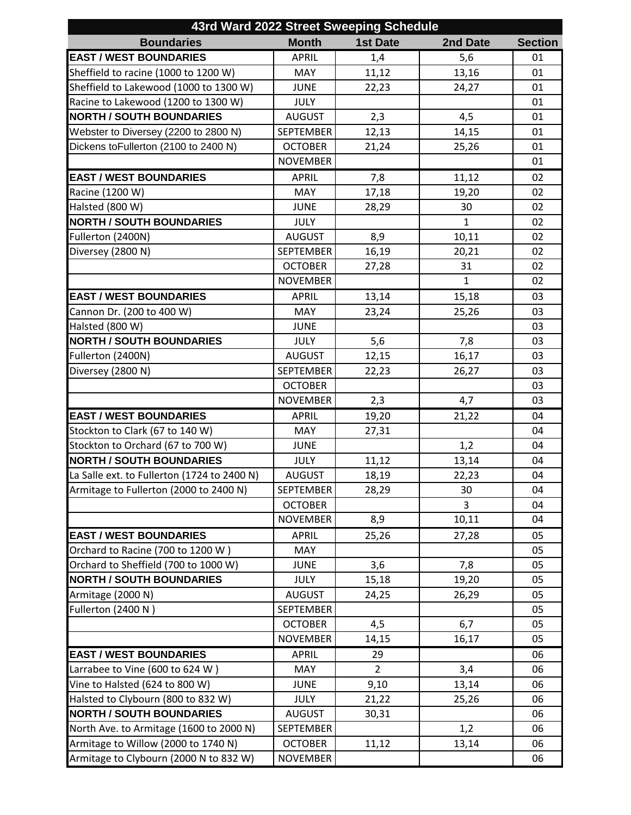| 43rd Ward 2022 Street Sweeping Schedule     |                                    |                 |              |                |  |  |  |
|---------------------------------------------|------------------------------------|-----------------|--------------|----------------|--|--|--|
| <b>Boundaries</b>                           | <b>Month</b>                       | <b>1st Date</b> | 2nd Date     | <b>Section</b> |  |  |  |
| <b>EAST / WEST BOUNDARIES</b>               | <b>APRIL</b>                       | 1,4             | 5,6          | 01             |  |  |  |
| Sheffield to racine (1000 to 1200 W)        | <b>MAY</b>                         | 11,12           | 13,16        | 01             |  |  |  |
| Sheffield to Lakewood (1000 to 1300 W)      | <b>JUNE</b>                        | 22,23           | 24,27        | 01             |  |  |  |
| Racine to Lakewood (1200 to 1300 W)         | <b>JULY</b>                        |                 |              | 01             |  |  |  |
| <b>NORTH / SOUTH BOUNDARIES</b>             | <b>AUGUST</b>                      | 2,3             | 4,5          | 01             |  |  |  |
| Webster to Diversey (2200 to 2800 N)        | <b>SEPTEMBER</b>                   | 12,13           | 14,15        | 01             |  |  |  |
| Dickens toFullerton (2100 to 2400 N)        | <b>OCTOBER</b>                     | 21,24           | 25,26        | 01             |  |  |  |
|                                             | <b>NOVEMBER</b>                    |                 |              | 01             |  |  |  |
| <b>EAST / WEST BOUNDARIES</b>               | <b>APRIL</b>                       | 7,8             | 11,12        | 02             |  |  |  |
| Racine (1200 W)                             | <b>MAY</b>                         | 17,18           | 19,20        | 02             |  |  |  |
| Halsted (800 W)                             | <b>JUNE</b>                        | 28,29           | 30           | 02             |  |  |  |
| <b>NORTH / SOUTH BOUNDARIES</b>             | <b>JULY</b>                        |                 | $\mathbf{1}$ | 02             |  |  |  |
| Fullerton (2400N)                           | <b>AUGUST</b>                      | 8,9             | 10,11        | 02             |  |  |  |
| Diversey (2800 N)                           | <b>SEPTEMBER</b>                   | 16,19           | 20,21        | 02             |  |  |  |
|                                             | <b>OCTOBER</b>                     | 27,28           | 31           | 02             |  |  |  |
|                                             | <b>NOVEMBER</b>                    |                 | $\mathbf{1}$ | 02             |  |  |  |
| <b>EAST / WEST BOUNDARIES</b>               | <b>APRIL</b>                       | 13,14           | 15,18        | 03             |  |  |  |
| Cannon Dr. (200 to 400 W)                   | MAY                                | 23,24           | 25,26        | 03             |  |  |  |
| Halsted (800 W)                             | <b>JUNE</b>                        |                 |              | 03             |  |  |  |
| <b>NORTH / SOUTH BOUNDARIES</b>             | <b>JULY</b>                        | 5,6             | 7,8          | 03             |  |  |  |
| Fullerton (2400N)                           | <b>AUGUST</b>                      | 12,15           | 16,17        | 03             |  |  |  |
| Diversey (2800 N)                           | <b>SEPTEMBER</b>                   | 22,23           | 26,27        | 03             |  |  |  |
|                                             | <b>OCTOBER</b>                     |                 |              | 03             |  |  |  |
|                                             | <b>NOVEMBER</b>                    | 2,3             | 4,7          | 03             |  |  |  |
| <b>EAST / WEST BOUNDARIES</b>               | <b>APRIL</b>                       | 19,20           | 21,22        | 04             |  |  |  |
| Stockton to Clark (67 to 140 W)             | MAY                                | 27,31           |              | 04             |  |  |  |
| Stockton to Orchard (67 to 700 W)           | <b>JUNE</b>                        |                 | 1,2          | 04             |  |  |  |
| <b>NORTH / SOUTH BOUNDARIES</b>             | <b>JULY</b>                        | 11,12           | 13,14        | 04             |  |  |  |
| La Salle ext. to Fullerton (1724 to 2400 N) | <b>AUGUST</b>                      | 18,19           |              | 04             |  |  |  |
| Armitage to Fullerton (2000 to 2400 N)      |                                    |                 | 22,23        |                |  |  |  |
|                                             | <b>SEPTEMBER</b><br><b>OCTOBER</b> | 28,29           | 30<br>3      | 04             |  |  |  |
|                                             | <b>NOVEMBER</b>                    |                 |              | 04             |  |  |  |
|                                             |                                    | 8,9             | 10,11        | 04             |  |  |  |
| <b>EAST / WEST BOUNDARIES</b>               | <b>APRIL</b>                       | 25,26           | 27,28        | 05             |  |  |  |
| Orchard to Racine (700 to 1200 W)           | <b>MAY</b>                         |                 |              | 05             |  |  |  |
| Orchard to Sheffield (700 to 1000 W)        | <b>JUNE</b>                        | 3,6             | 7,8          | 05             |  |  |  |
| <b>NORTH / SOUTH BOUNDARIES</b>             | <b>JULY</b>                        | 15,18           | 19,20        | 05             |  |  |  |
| Armitage (2000 N)                           | <b>AUGUST</b>                      | 24,25           | 26,29        | 05             |  |  |  |
| Fullerton (2400 N)                          | <b>SEPTEMBER</b>                   |                 |              | 05             |  |  |  |
|                                             | <b>OCTOBER</b>                     | 4,5             | 6,7          | 05             |  |  |  |
|                                             | <b>NOVEMBER</b>                    | 14,15           | 16,17        | 05             |  |  |  |
| <b>EAST / WEST BOUNDARIES</b>               | <b>APRIL</b>                       | 29              |              | 06             |  |  |  |
| Larrabee to Vine (600 to 624 W)             | <b>MAY</b>                         | $\overline{2}$  | 3,4          | 06             |  |  |  |
| Vine to Halsted (624 to 800 W)              | <b>JUNE</b>                        | 9,10            | 13,14        | 06             |  |  |  |
| Halsted to Clybourn (800 to 832 W)          | <b>JULY</b>                        | 21,22           | 25,26        | 06             |  |  |  |
| <b>NORTH / SOUTH BOUNDARIES</b>             | <b>AUGUST</b>                      | 30,31           |              | 06             |  |  |  |
| North Ave. to Armitage (1600 to 2000 N)     | <b>SEPTEMBER</b>                   |                 | 1,2          | 06             |  |  |  |
| Armitage to Willow (2000 to 1740 N)         | <b>OCTOBER</b>                     | 11,12           | 13,14        | 06             |  |  |  |
| Armitage to Clybourn (2000 N to 832 W)      | <b>NOVEMBER</b>                    |                 |              | 06             |  |  |  |